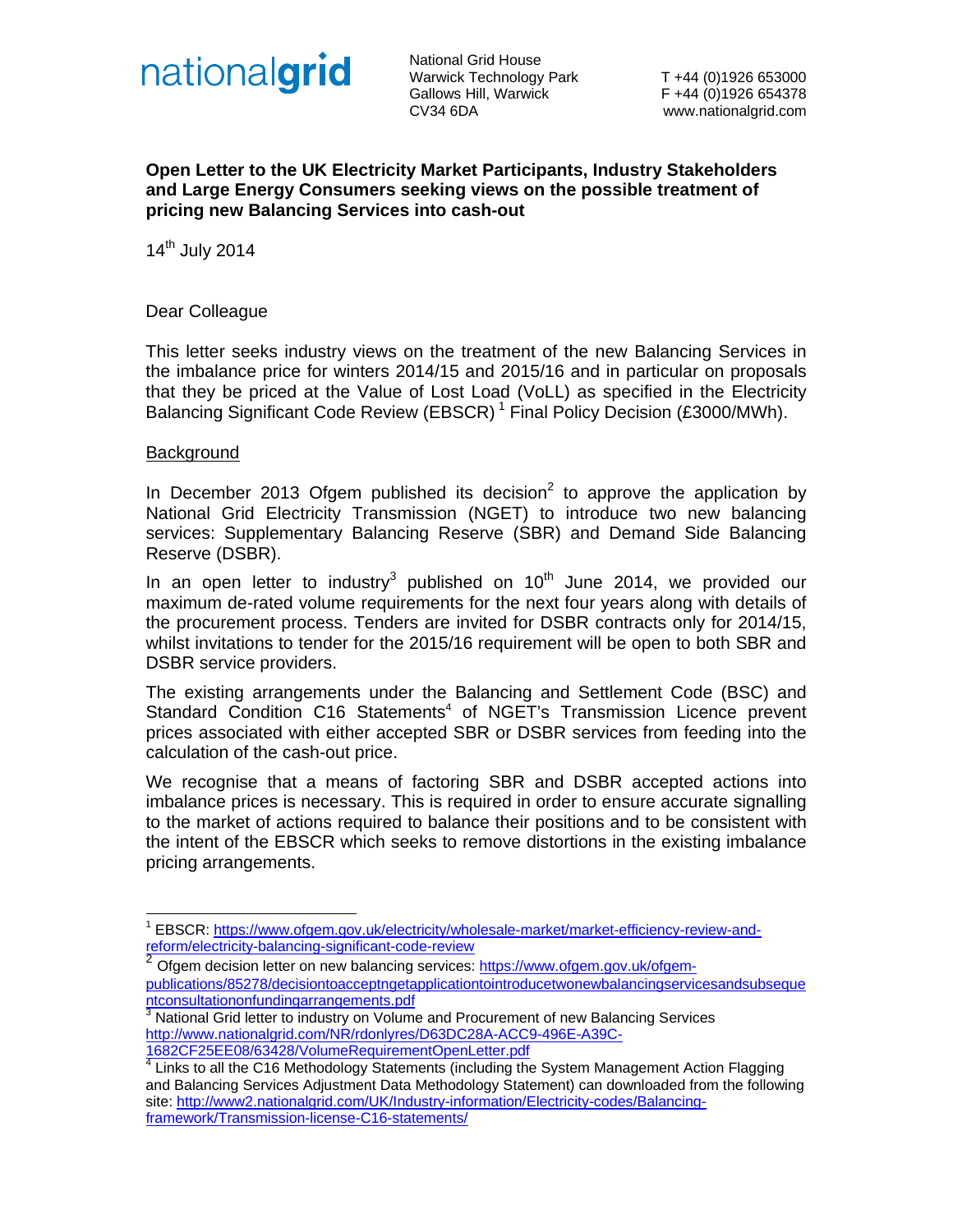

National Grid House Warwick Technology Park T +44 (0)1926 653000 Gallows Hill, Warwick F +44 (0)1926 654378 CV34 6DA www.nationalgrid.com

### **Open Letter to the UK Electricity Market Participants, Industry Stakeholders and Large Energy Consumers seeking views on the possible treatment of pricing new Balancing Services into cash-out**

14th July 2014

#### Dear Colleague

This letter seeks industry views on the treatment of the new Balancing Services in the imbalance price for winters 2014/15 and 2015/16 and in particular on proposals that they be priced at the Value of Lost Load (VoLL) as specified in the Electricity Balancing Significant Code Review (EBSCR)<sup>1</sup> Final Policy Decision (£3000/MWh).

#### **Background**

-

In December 2013 Ofgem published its decision<sup>2</sup> to approve the application by National Grid Electricity Transmission (NGET) to introduce two new balancing services: Supplementary Balancing Reserve (SBR) and Demand Side Balancing Reserve (DSBR).

In an open letter to industry<sup>3</sup> published on  $10<sup>th</sup>$  June 2014, we provided our maximum de-rated volume requirements for the next four years along with details of the procurement process. Tenders are invited for DSBR contracts only for 2014/15, whilst invitations to tender for the 2015/16 requirement will be open to both SBR and DSBR service providers.

The existing arrangements under the Balancing and Settlement Code (BSC) and Standard Condition C16 Statements<sup>4</sup> of NGET's Transmission Licence prevent prices associated with either accepted SBR or DSBR services from feeding into the calculation of the cash-out price.

We recognise that a means of factoring SBR and DSBR accepted actions into imbalance prices is necessary. This is required in order to ensure accurate signalling to the market of actions required to balance their positions and to be consistent with the intent of the EBSCR which seeks to remove distortions in the existing imbalance pricing arrangements.

<sup>1</sup> EBSCR: https://www.ofgem.gov.uk/electricity/wholesale-market/market-efficiency-review-andreform/electricity-balancing-significant-code-review

Ofgem decision letter on new balancing services: https://www.ofgem.gov.uk/ofgempublications/85278/decisiontoacceptngetapplicationtointroducetwonewbalancingservicesandsubseque

<sup>&</sup>lt;u>ntconsultationonfundingarrangements.pdf</u><br><sup>3</sup> National Grid letter to industry on Volume and Procurement of new Balancing Services http://www.nationalgrid.com/NR/rdonlyres/D63DC28A-ACC9-496E-A39C-1682CF25EE08/63428/VolumeRequirementOpenLetter.pdf

<sup>&</sup>lt;sup>4</sup> Links to all the C16 Methodology Statements (including the System Management Action Flagging and Balancing Services Adjustment Data Methodology Statement) can downloaded from the following site: http://www2.nationalgrid.com/UK/Industry-information/Electricity-codes/Balancingframework/Transmission-license-C16-statements/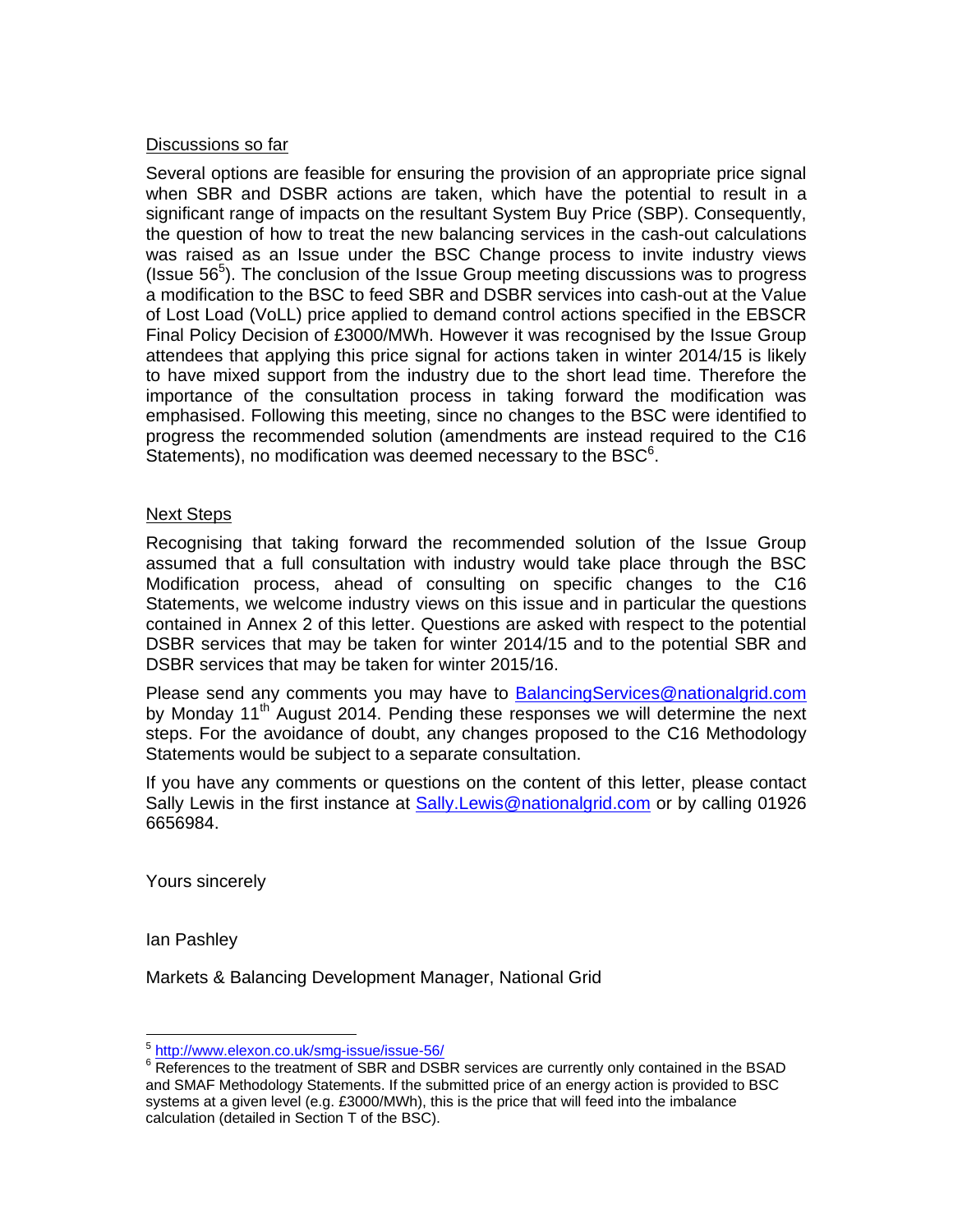## Discussions so far

Several options are feasible for ensuring the provision of an appropriate price signal when SBR and DSBR actions are taken, which have the potential to result in a significant range of impacts on the resultant System Buy Price (SBP). Consequently, the question of how to treat the new balancing services in the cash-out calculations was raised as an Issue under the BSC Change process to invite industry views (Issue  $56^5$ ). The conclusion of the Issue Group meeting discussions was to progress a modification to the BSC to feed SBR and DSBR services into cash-out at the Value of Lost Load (VoLL) price applied to demand control actions specified in the EBSCR Final Policy Decision of £3000/MWh. However it was recognised by the Issue Group attendees that applying this price signal for actions taken in winter 2014/15 is likely to have mixed support from the industry due to the short lead time. Therefore the importance of the consultation process in taking forward the modification was emphasised. Following this meeting, since no changes to the BSC were identified to progress the recommended solution (amendments are instead required to the C16 Statements), no modification was deemed necessary to the BSC $<sup>6</sup>$ .</sup>

#### Next Steps

Recognising that taking forward the recommended solution of the Issue Group assumed that a full consultation with industry would take place through the BSC Modification process, ahead of consulting on specific changes to the C16 Statements, we welcome industry views on this issue and in particular the questions contained in Annex 2 of this letter. Questions are asked with respect to the potential DSBR services that may be taken for winter 2014/15 and to the potential SBR and DSBR services that may be taken for winter 2015/16.

Please send any comments you may have to **BalancingServices@nationalgrid.com** by Monday 11<sup>th</sup> August 2014. Pending these responses we will determine the next steps. For the avoidance of doubt, any changes proposed to the C16 Methodology Statements would be subject to a separate consultation.

If you have any comments or questions on the content of this letter, please contact Sally Lewis in the first instance at Sally.Lewis@nationalgrid.com or by calling 01926 6656984.

Yours sincerely

Ian Pashley

-

Markets & Balancing Development Manager, National Grid

<sup>5</sup> http://www.elexon.co.uk/smg-issue/issue-56/

<sup>&</sup>lt;sup>6</sup> References to the treatment of SBR and DSBR services are currently only contained in the BSAD and SMAF Methodology Statements. If the submitted price of an energy action is provided to BSC systems at a given level (e.g. £3000/MWh), this is the price that will feed into the imbalance calculation (detailed in Section T of the BSC).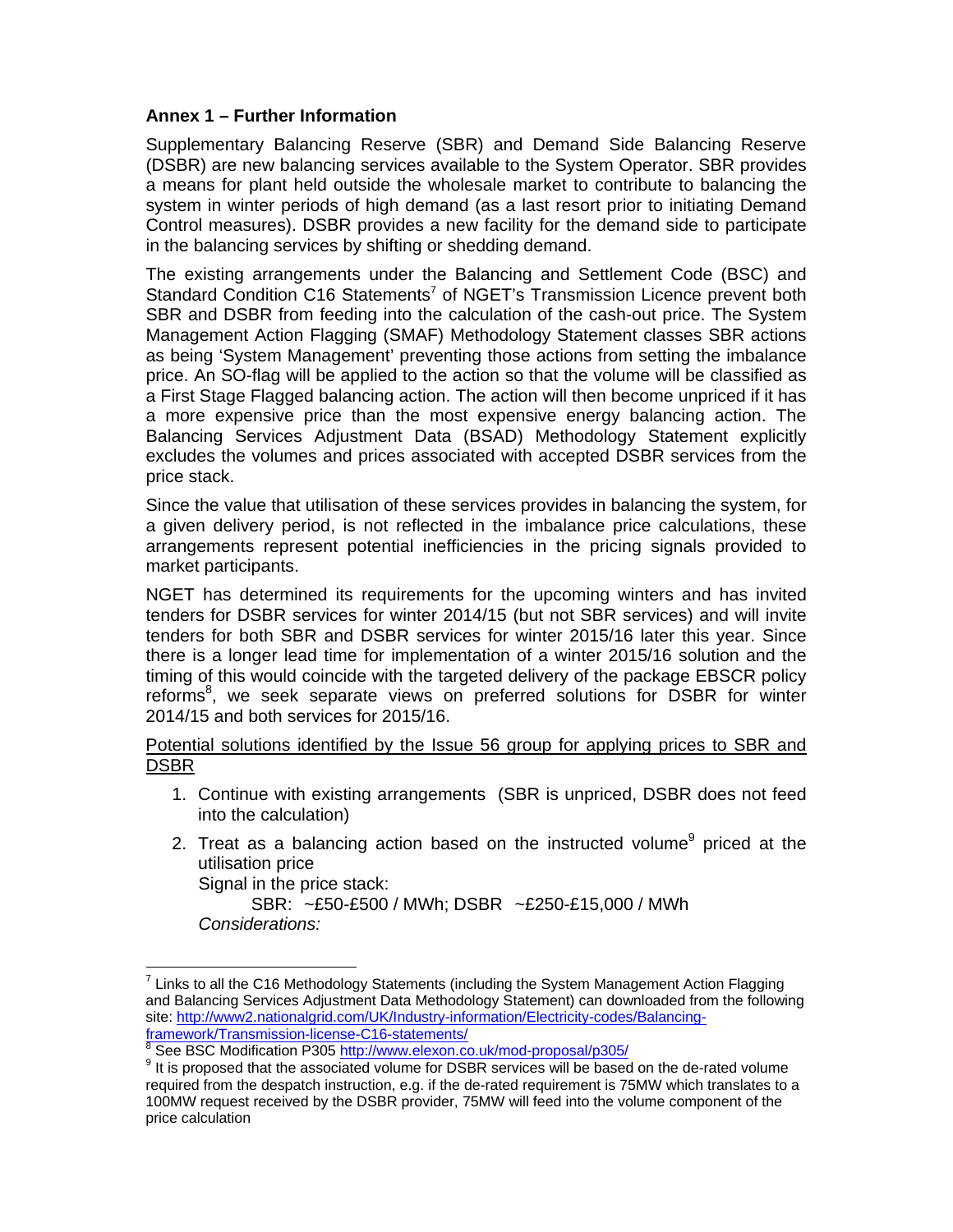# **Annex 1 – Further Information**

Supplementary Balancing Reserve (SBR) and Demand Side Balancing Reserve (DSBR) are new balancing services available to the System Operator. SBR provides a means for plant held outside the wholesale market to contribute to balancing the system in winter periods of high demand (as a last resort prior to initiating Demand Control measures). DSBR provides a new facility for the demand side to participate in the balancing services by shifting or shedding demand.

The existing arrangements under the Balancing and Settlement Code (BSC) and Standard Condition C16 Statements<sup>7</sup> of NGET's Transmission Licence prevent both SBR and DSBR from feeding into the calculation of the cash-out price. The System Management Action Flagging (SMAF) Methodology Statement classes SBR actions as being 'System Management' preventing those actions from setting the imbalance price. An SO-flag will be applied to the action so that the volume will be classified as a First Stage Flagged balancing action. The action will then become unpriced if it has a more expensive price than the most expensive energy balancing action. The Balancing Services Adjustment Data (BSAD) Methodology Statement explicitly excludes the volumes and prices associated with accepted DSBR services from the price stack.

Since the value that utilisation of these services provides in balancing the system, for a given delivery period, is not reflected in the imbalance price calculations, these arrangements represent potential inefficiencies in the pricing signals provided to market participants.

NGET has determined its requirements for the upcoming winters and has invited tenders for DSBR services for winter 2014/15 (but not SBR services) and will invite tenders for both SBR and DSBR services for winter 2015/16 later this year. Since there is a longer lead time for implementation of a winter 2015/16 solution and the timing of this would coincide with the targeted delivery of the package EBSCR policy reforms<sup>8</sup>, we seek separate views on preferred solutions for DSBR for winter 2014/15 and both services for 2015/16.

Potential solutions identified by the Issue 56 group for applying prices to SBR and DSBR

- 1. Continue with existing arrangements (SBR is unpriced, DSBR does not feed into the calculation)
- 2. Treat as a balancing action based on the instructed volume<sup>9</sup> priced at the utilisation price

Signal in the price stack:

-

SBR: ~£50-£500 / MWh; DSBR ~£250-£15,000 / MWh  *Considerations:* 

<sup>7</sup> Links to all the C16 Methodology Statements (including the System Management Action Flagging and Balancing Services Adjustment Data Methodology Statement) can downloaded from the following site: http://www2.nationalgrid.com/UK/Industry-information/Electricity-codes/Balancingframework/Transmission-license-C16-statements/

<sup>8</sup> See BSC Modification P305 http://www.elexon.co.uk/mod-proposal/p305/

<sup>&</sup>lt;sup>9</sup> It is proposed that the associated volume for DSBR services will be based on the de-rated volume required from the despatch instruction, e.g. if the de-rated requirement is 75MW which translates to a 100MW request received by the DSBR provider, 75MW will feed into the volume component of the price calculation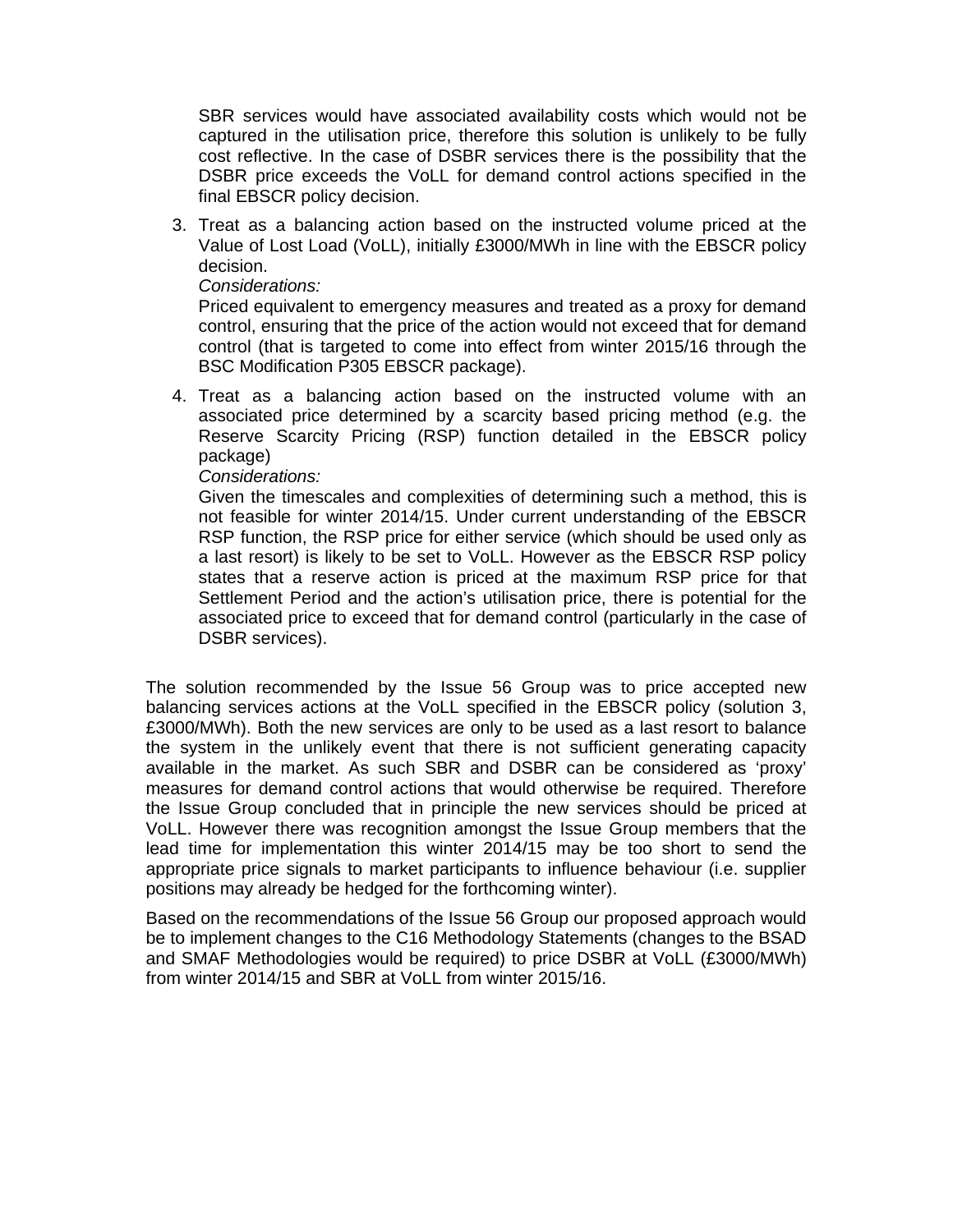SBR services would have associated availability costs which would not be captured in the utilisation price, therefore this solution is unlikely to be fully cost reflective. In the case of DSBR services there is the possibility that the DSBR price exceeds the VoLL for demand control actions specified in the final EBSCR policy decision.

3. Treat as a balancing action based on the instructed volume priced at the Value of Lost Load (VoLL), initially £3000/MWh in line with the EBSCR policy decision.

### *Considerations:*

Priced equivalent to emergency measures and treated as a proxy for demand control, ensuring that the price of the action would not exceed that for demand control (that is targeted to come into effect from winter 2015/16 through the BSC Modification P305 EBSCR package).

4. Treat as a balancing action based on the instructed volume with an associated price determined by a scarcity based pricing method (e.g. the Reserve Scarcity Pricing (RSP) function detailed in the EBSCR policy package)

# *Considerations:*

Given the timescales and complexities of determining such a method, this is not feasible for winter 2014/15. Under current understanding of the EBSCR RSP function, the RSP price for either service (which should be used only as a last resort) is likely to be set to VoLL. However as the EBSCR RSP policy states that a reserve action is priced at the maximum RSP price for that Settlement Period and the action's utilisation price, there is potential for the associated price to exceed that for demand control (particularly in the case of DSBR services).

The solution recommended by the Issue 56 Group was to price accepted new balancing services actions at the VoLL specified in the EBSCR policy (solution 3, £3000/MWh). Both the new services are only to be used as a last resort to balance the system in the unlikely event that there is not sufficient generating capacity available in the market. As such SBR and DSBR can be considered as 'proxy' measures for demand control actions that would otherwise be required. Therefore the Issue Group concluded that in principle the new services should be priced at VoLL. However there was recognition amongst the Issue Group members that the lead time for implementation this winter 2014/15 may be too short to send the appropriate price signals to market participants to influence behaviour (i.e. supplier positions may already be hedged for the forthcoming winter).

Based on the recommendations of the Issue 56 Group our proposed approach would be to implement changes to the C16 Methodology Statements (changes to the BSAD and SMAF Methodologies would be required) to price DSBR at VoLL (£3000/MWh) from winter 2014/15 and SBR at VoLL from winter 2015/16.